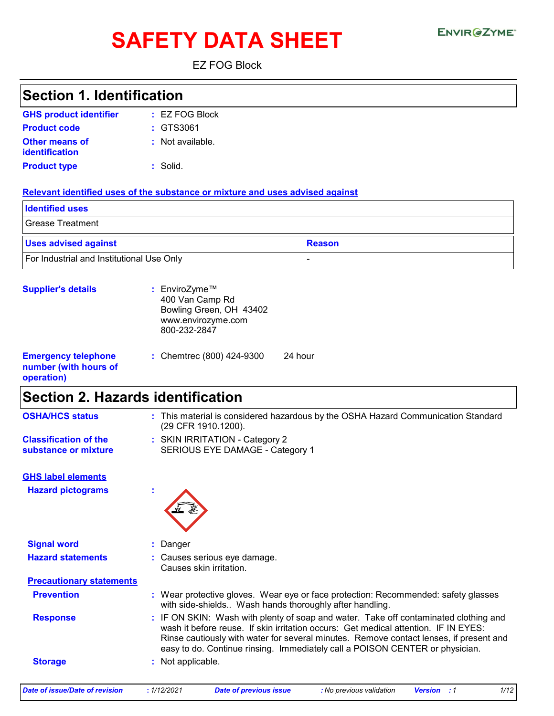# SAFETY DATA SHEET ENVIRGETMEN

EZ FOG Block

| <b>Section 1. Identification</b>                                  |                                                                                                                                                                                                                                                                                                                                                       |                                                                                    |
|-------------------------------------------------------------------|-------------------------------------------------------------------------------------------------------------------------------------------------------------------------------------------------------------------------------------------------------------------------------------------------------------------------------------------------------|------------------------------------------------------------------------------------|
| <b>GHS product identifier</b>                                     | : EZ FOG Block                                                                                                                                                                                                                                                                                                                                        |                                                                                    |
| <b>Product code</b>                                               | : GTS3061                                                                                                                                                                                                                                                                                                                                             |                                                                                    |
| Other means of<br>identification                                  | : Not available.                                                                                                                                                                                                                                                                                                                                      |                                                                                    |
| <b>Product type</b>                                               | $:$ Solid.                                                                                                                                                                                                                                                                                                                                            |                                                                                    |
|                                                                   | Relevant identified uses of the substance or mixture and uses advised against                                                                                                                                                                                                                                                                         |                                                                                    |
| <b>Identified uses</b>                                            |                                                                                                                                                                                                                                                                                                                                                       |                                                                                    |
| <b>Grease Treatment</b>                                           |                                                                                                                                                                                                                                                                                                                                                       |                                                                                    |
| <b>Uses advised against</b>                                       |                                                                                                                                                                                                                                                                                                                                                       | <b>Reason</b>                                                                      |
| For Industrial and Institutional Use Only                         |                                                                                                                                                                                                                                                                                                                                                       |                                                                                    |
| <b>Supplier's details</b>                                         | EnviroZyme™<br>÷.<br>400 Van Camp Rd<br>Bowling Green, OH 43402<br>www.envirozyme.com<br>800-232-2847                                                                                                                                                                                                                                                 |                                                                                    |
| <b>Emergency telephone</b><br>number (with hours of<br>operation) | 24 hour<br>: Chemtrec (800) 424-9300                                                                                                                                                                                                                                                                                                                  |                                                                                    |
| <b>Section 2. Hazards identification</b>                          |                                                                                                                                                                                                                                                                                                                                                       |                                                                                    |
| <b>OSHA/HCS status</b>                                            | (29 CFR 1910.1200).                                                                                                                                                                                                                                                                                                                                   | : This material is considered hazardous by the OSHA Hazard Communication Standard  |
| <b>Classification of the</b><br>substance or mixture              | : SKIN IRRITATION - Category 2<br>SERIOUS EYE DAMAGE - Category 1                                                                                                                                                                                                                                                                                     |                                                                                    |
| <b>GHS label elements</b>                                         |                                                                                                                                                                                                                                                                                                                                                       |                                                                                    |
| <b>Hazard pictograms</b>                                          |                                                                                                                                                                                                                                                                                                                                                       |                                                                                    |
| <b>Signal word</b>                                                | Danger                                                                                                                                                                                                                                                                                                                                                |                                                                                    |
| <b>Hazard statements</b>                                          | : Causes serious eye damage.<br>Causes skin irritation.                                                                                                                                                                                                                                                                                               |                                                                                    |
| <b>Precautionary statements</b>                                   |                                                                                                                                                                                                                                                                                                                                                       |                                                                                    |
| <b>Prevention</b>                                                 | with side-shields Wash hands thoroughly after handling.                                                                                                                                                                                                                                                                                               | : Wear protective gloves. Wear eye or face protection: Recommended: safety glasses |
| <b>Response</b>                                                   | : IF ON SKIN: Wash with plenty of soap and water. Take off contaminated clothing and<br>wash it before reuse. If skin irritation occurs: Get medical attention. IF IN EYES:<br>Rinse cautiously with water for several minutes. Remove contact lenses, if present and<br>easy to do. Continue rinsing. Immediately call a POISON CENTER or physician. |                                                                                    |
| <b>Storage</b>                                                    | : Not applicable.                                                                                                                                                                                                                                                                                                                                     |                                                                                    |
|                                                                   |                                                                                                                                                                                                                                                                                                                                                       |                                                                                    |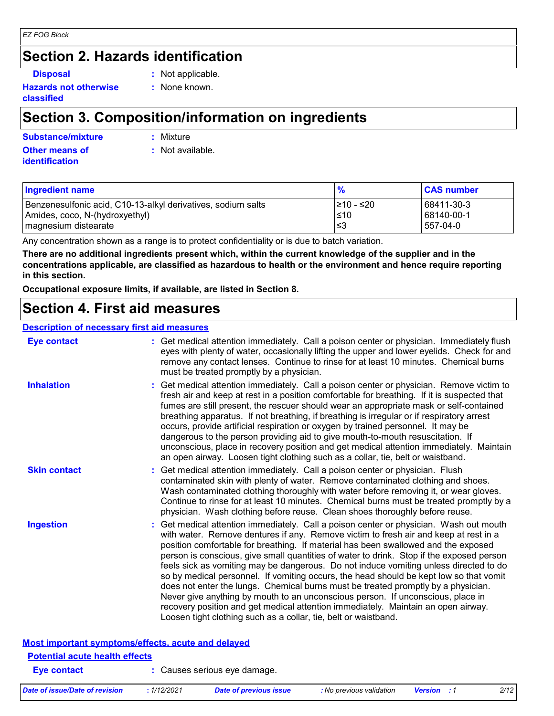## **Section 2. Hazards identification**

**Hazards not otherwise classified**

- **Disposal :** Not applicable.
	- **:** None known.

### **Section 3. Composition/information on ingredients**

#### **Other means of Substance/mixture :**

: Mixture

**identification**

**:** Not available.

| <b>Ingredient name</b>                                       | $\frac{9}{6}$ | <b>CAS number</b> |
|--------------------------------------------------------------|---------------|-------------------|
| Benzenesulfonic acid, C10-13-alkyl derivatives, sodium salts | l≥10 - ≤20    | 68411-30-3        |
| Amides, coco, N-(hydroxyethyl)                               | l≤10          | 68140-00-1        |
| magnesium distearate                                         | צا            | 557-04-0          |

Any concentration shown as a range is to protect confidentiality or is due to batch variation.

**There are no additional ingredients present which, within the current knowledge of the supplier and in the concentrations applicable, are classified as hazardous to health or the environment and hence require reporting in this section.**

**Occupational exposure limits, if available, are listed in Section 8.**

### **Section 4. First aid measures**

#### **Description of necessary first aid measures**

| <b>Eye contact</b>  | : Get medical attention immediately. Call a poison center or physician. Immediately flush<br>eyes with plenty of water, occasionally lifting the upper and lower eyelids. Check for and<br>remove any contact lenses. Continue to rinse for at least 10 minutes. Chemical burns<br>must be treated promptly by a physician.                                                                                                                                                                                                                                                                                                                                                                                                                                                                                                                                                         |
|---------------------|-------------------------------------------------------------------------------------------------------------------------------------------------------------------------------------------------------------------------------------------------------------------------------------------------------------------------------------------------------------------------------------------------------------------------------------------------------------------------------------------------------------------------------------------------------------------------------------------------------------------------------------------------------------------------------------------------------------------------------------------------------------------------------------------------------------------------------------------------------------------------------------|
| <b>Inhalation</b>   | : Get medical attention immediately. Call a poison center or physician. Remove victim to<br>fresh air and keep at rest in a position comfortable for breathing. If it is suspected that<br>fumes are still present, the rescuer should wear an appropriate mask or self-contained<br>breathing apparatus. If not breathing, if breathing is irregular or if respiratory arrest<br>occurs, provide artificial respiration or oxygen by trained personnel. It may be<br>dangerous to the person providing aid to give mouth-to-mouth resuscitation. If<br>unconscious, place in recovery position and get medical attention immediately. Maintain<br>an open airway. Loosen tight clothing such as a collar, tie, belt or waistband.                                                                                                                                                  |
| <b>Skin contact</b> | : Get medical attention immediately. Call a poison center or physician. Flush<br>contaminated skin with plenty of water. Remove contaminated clothing and shoes.<br>Wash contaminated clothing thoroughly with water before removing it, or wear gloves.<br>Continue to rinse for at least 10 minutes. Chemical burns must be treated promptly by a<br>physician. Wash clothing before reuse. Clean shoes thoroughly before reuse.                                                                                                                                                                                                                                                                                                                                                                                                                                                  |
| <b>Ingestion</b>    | : Get medical attention immediately. Call a poison center or physician. Wash out mouth<br>with water. Remove dentures if any. Remove victim to fresh air and keep at rest in a<br>position comfortable for breathing. If material has been swallowed and the exposed<br>person is conscious, give small quantities of water to drink. Stop if the exposed person<br>feels sick as vomiting may be dangerous. Do not induce vomiting unless directed to do<br>so by medical personnel. If vomiting occurs, the head should be kept low so that vomit<br>does not enter the lungs. Chemical burns must be treated promptly by a physician.<br>Never give anything by mouth to an unconscious person. If unconscious, place in<br>recovery position and get medical attention immediately. Maintain an open airway.<br>Loosen tight clothing such as a collar, tie, belt or waistband. |

| Most important symptoms/effects, acute and delayed |                              |  |  |  |
|----------------------------------------------------|------------------------------|--|--|--|
| <b>Potential acute health effects</b>              |                              |  |  |  |
| Eye contact                                        | : Causes serious eye damage. |  |  |  |

|                                                           | person is conscious, give small quantities of water to drink. Stop if the exposed persor<br>feels sick as vomiting may be dangerous. Do not induce vomiting unless directed to do<br>so by medical personnel. If vomiting occurs, the head should be kept low so that vomit<br>does not enter the lungs. Chemical burns must be treated promptly by a physician.<br>Never give anything by mouth to an unconscious person. If unconscious, place in<br>recovery position and get medical attention immediately. Maintain an open airway.<br>Loosen tight clothing such as a collar, tie, belt or waistband. |
|-----------------------------------------------------------|-------------------------------------------------------------------------------------------------------------------------------------------------------------------------------------------------------------------------------------------------------------------------------------------------------------------------------------------------------------------------------------------------------------------------------------------------------------------------------------------------------------------------------------------------------------------------------------------------------------|
| <b>Most important symptoms/effects, acute and delayed</b> |                                                                                                                                                                                                                                                                                                                                                                                                                                                                                                                                                                                                             |
| <b>Potential acute health effects</b>                     |                                                                                                                                                                                                                                                                                                                                                                                                                                                                                                                                                                                                             |
| <b>Eye contact</b>                                        | : Causes serious eye damage.                                                                                                                                                                                                                                                                                                                                                                                                                                                                                                                                                                                |
|                                                           |                                                                                                                                                                                                                                                                                                                                                                                                                                                                                                                                                                                                             |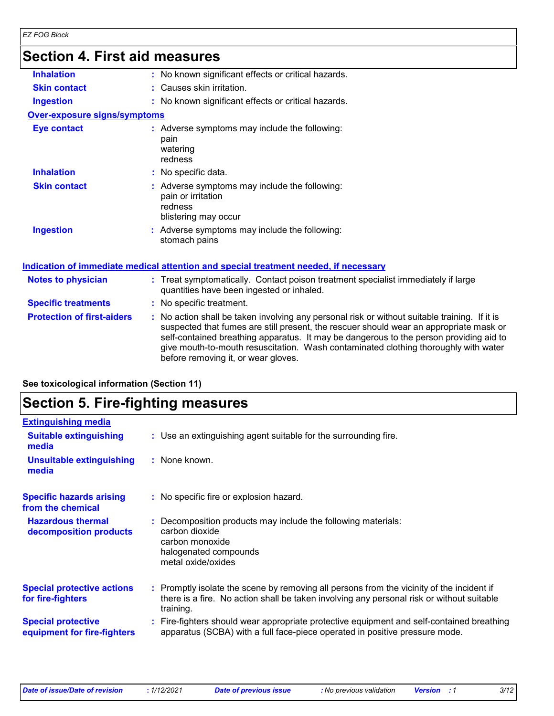## **Section 4. First aid measures**

| OGUNUT 7. TITƏL QIM TIIGASULGƏ    |                                                                                                                                                                                                                                                                                                                                                                                                                 |
|-----------------------------------|-----------------------------------------------------------------------------------------------------------------------------------------------------------------------------------------------------------------------------------------------------------------------------------------------------------------------------------------------------------------------------------------------------------------|
| <b>Inhalation</b>                 | : No known significant effects or critical hazards.                                                                                                                                                                                                                                                                                                                                                             |
| <b>Skin contact</b>               | : Causes skin irritation.                                                                                                                                                                                                                                                                                                                                                                                       |
| <b>Ingestion</b>                  | : No known significant effects or critical hazards.                                                                                                                                                                                                                                                                                                                                                             |
| Over-exposure signs/symptoms      |                                                                                                                                                                                                                                                                                                                                                                                                                 |
| <b>Eye contact</b>                | : Adverse symptoms may include the following:<br>pain<br>watering<br>redness                                                                                                                                                                                                                                                                                                                                    |
| <b>Inhalation</b>                 | : No specific data.                                                                                                                                                                                                                                                                                                                                                                                             |
| <b>Skin contact</b>               | : Adverse symptoms may include the following:<br>pain or irritation<br>redness<br>blistering may occur                                                                                                                                                                                                                                                                                                          |
| <b>Ingestion</b>                  | : Adverse symptoms may include the following:<br>stomach pains                                                                                                                                                                                                                                                                                                                                                  |
|                                   | Indication of immediate medical attention and special treatment needed, if necessary                                                                                                                                                                                                                                                                                                                            |
| <b>Notes to physician</b>         | : Treat symptomatically. Contact poison treatment specialist immediately if large<br>quantities have been ingested or inhaled.                                                                                                                                                                                                                                                                                  |
| <b>Specific treatments</b>        | : No specific treatment.                                                                                                                                                                                                                                                                                                                                                                                        |
| <b>Protection of first-aiders</b> | : No action shall be taken involving any personal risk or without suitable training. If it is<br>suspected that fumes are still present, the rescuer should wear an appropriate mask or<br>self-contained breathing apparatus. It may be dangerous to the person providing aid to<br>give mouth-to-mouth resuscitation. Wash contaminated clothing thoroughly with water<br>before removing it, or wear gloves. |
|                                   |                                                                                                                                                                                                                                                                                                                                                                                                                 |

| See toxicological information (Section 11) |  |  |
|--------------------------------------------|--|--|
|--------------------------------------------|--|--|

## **Section 5. Fire-fighting measures**

| <b>Extinguishing media</b>                               |                                                                                                                                                                                                     |
|----------------------------------------------------------|-----------------------------------------------------------------------------------------------------------------------------------------------------------------------------------------------------|
| <b>Suitable extinguishing</b><br>media                   | : Use an extinguishing agent suitable for the surrounding fire.                                                                                                                                     |
| <b>Unsuitable extinguishing</b><br>media                 | : None known.                                                                                                                                                                                       |
| <b>Specific hazards arising</b><br>from the chemical     | : No specific fire or explosion hazard.                                                                                                                                                             |
| <b>Hazardous thermal</b><br>decomposition products       | Decomposition products may include the following materials:<br>carbon dioxide<br>carbon monoxide<br>halogenated compounds<br>metal oxide/oxides                                                     |
| <b>Special protective actions</b><br>for fire-fighters   | : Promptly isolate the scene by removing all persons from the vicinity of the incident if<br>there is a fire. No action shall be taken involving any personal risk or without suitable<br>training. |
| <b>Special protective</b><br>equipment for fire-fighters | : Fire-fighters should wear appropriate protective equipment and self-contained breathing<br>apparatus (SCBA) with a full face-piece operated in positive pressure mode.                            |
|                                                          |                                                                                                                                                                                                     |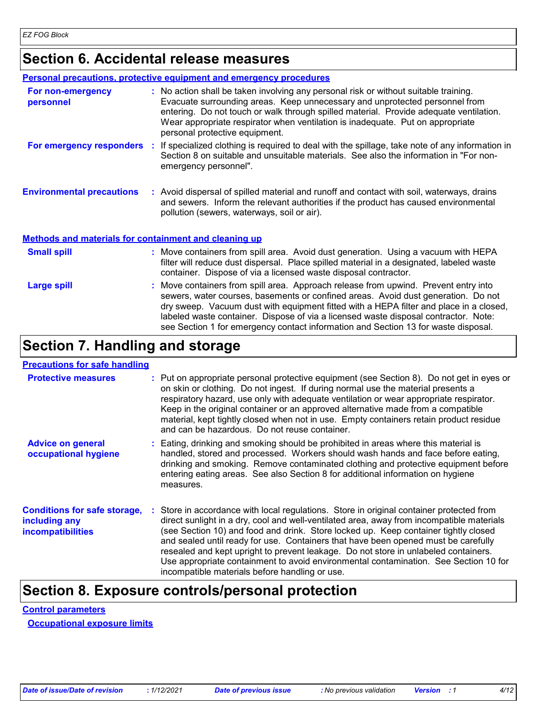### **Section 6. Accidental release measures**

|                                                       | <b>Personal precautions, protective equipment and emergency procedures</b>                                                                                                                                                                                                                                                                                                        |
|-------------------------------------------------------|-----------------------------------------------------------------------------------------------------------------------------------------------------------------------------------------------------------------------------------------------------------------------------------------------------------------------------------------------------------------------------------|
| For non-emergency<br>personnel                        | : No action shall be taken involving any personal risk or without suitable training.<br>Evacuate surrounding areas. Keep unnecessary and unprotected personnel from<br>entering. Do not touch or walk through spilled material. Provide adequate ventilation.<br>Wear appropriate respirator when ventilation is inadequate. Put on appropriate<br>personal protective equipment. |
| For emergency responders                              | If specialized clothing is required to deal with the spillage, take note of any information in<br>Section 8 on suitable and unsuitable materials. See also the information in "For non-<br>emergency personnel".                                                                                                                                                                  |
| <b>Environmental precautions</b>                      | : Avoid dispersal of spilled material and runoff and contact with soil, waterways, drains<br>and sewers. Inform the relevant authorities if the product has caused environmental<br>pollution (sewers, waterways, soil or air).                                                                                                                                                   |
| Methods and materials for containment and cleaning up |                                                                                                                                                                                                                                                                                                                                                                                   |
| <b>Small spill</b>                                    | : Move containers from spill area. Avoid dust generation. Using a vacuum with HEPA<br>filter will reduce dust dispersal. Place spilled material in a designated, labeled waste                                                                                                                                                                                                    |

|             | container. Dispose of via a licensed waste disposal contractor.                                                                                                                                                                                                                                                                                                                                                                                 |
|-------------|-------------------------------------------------------------------------------------------------------------------------------------------------------------------------------------------------------------------------------------------------------------------------------------------------------------------------------------------------------------------------------------------------------------------------------------------------|
| Large spill | : Move containers from spill area. Approach release from upwind. Prevent entry into<br>sewers, water courses, basements or confined areas. Avoid dust generation. Do not<br>dry sweep. Vacuum dust with equipment fitted with a HEPA filter and place in a closed,<br>labeled waste container. Dispose of via a licensed waste disposal contractor. Note:<br>see Section 1 for emergency contact information and Section 13 for waste disposal. |

### **Section 7. Handling and storage**

#### **Precautions for safe handling**

| <b>Protective measures</b>                                                       | : Put on appropriate personal protective equipment (see Section 8). Do not get in eyes or<br>on skin or clothing. Do not ingest. If during normal use the material presents a<br>respiratory hazard, use only with adequate ventilation or wear appropriate respirator.<br>Keep in the original container or an approved alternative made from a compatible<br>material, kept tightly closed when not in use. Empty containers retain product residue<br>and can be hazardous. Do not reuse container.                                                                                            |  |
|----------------------------------------------------------------------------------|---------------------------------------------------------------------------------------------------------------------------------------------------------------------------------------------------------------------------------------------------------------------------------------------------------------------------------------------------------------------------------------------------------------------------------------------------------------------------------------------------------------------------------------------------------------------------------------------------|--|
| <b>Advice on general</b><br>occupational hygiene                                 | : Eating, drinking and smoking should be prohibited in areas where this material is<br>handled, stored and processed. Workers should wash hands and face before eating,<br>drinking and smoking. Remove contaminated clothing and protective equipment before<br>entering eating areas. See also Section 8 for additional information on hygiene<br>measures.                                                                                                                                                                                                                                     |  |
| <b>Conditions for safe storage,</b><br>including any<br><b>incompatibilities</b> | Store in accordance with local regulations. Store in original container protected from<br>direct sunlight in a dry, cool and well-ventilated area, away from incompatible materials<br>(see Section 10) and food and drink. Store locked up. Keep container tightly closed<br>and sealed until ready for use. Containers that have been opened must be carefully<br>resealed and kept upright to prevent leakage. Do not store in unlabeled containers.<br>Use appropriate containment to avoid environmental contamination. See Section 10 for<br>incompatible materials before handling or use. |  |

### **Section 8. Exposure controls/personal protection**

#### **Control parameters**

**Occupational exposure limits**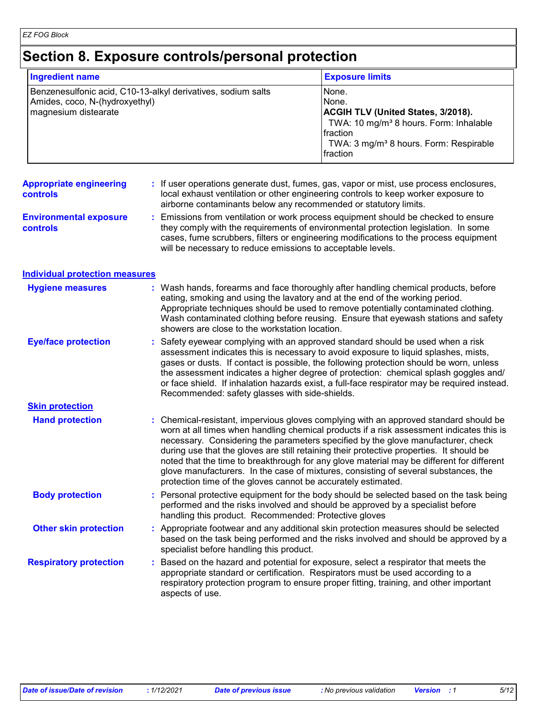### **Section 8. Exposure controls/personal protection**

| <b>Ingredient name</b>                                                                                                 | <b>Exposure limits</b>                                                                                                                                                                                   |
|------------------------------------------------------------------------------------------------------------------------|----------------------------------------------------------------------------------------------------------------------------------------------------------------------------------------------------------|
| Benzenesulfonic acid, C10-13-alkyl derivatives, sodium salts<br>Amides, coco, N-(hydroxyethyl)<br>magnesium distearate | INone.<br>None.<br><b>ACGIH TLV (United States, 3/2018).</b><br>TWA: 10 mg/m <sup>3</sup> 8 hours. Form: Inhalable<br><b>Ifraction</b><br>TWA: 3 mg/m <sup>3</sup> 8 hours. Form: Respirable<br>fraction |

#### **Appropriate engineering controls :** If user operations generate dust, fumes, gas, vapor or mist, use process enclosures, local exhaust ventilation or other engineering controls to keep worker exposure to airborne contaminants below any recommended or statutory limits.

**Environmental exposure controls :** Emissions from ventilation or work process equipment should be checked to ensure they comply with the requirements of environmental protection legislation. In some cases, fume scrubbers, filters or engineering modifications to the process equipment will be necessary to reduce emissions to acceptable levels.

#### **Individual protection measures**

| <b>Hygiene measures</b>       | : Wash hands, forearms and face thoroughly after handling chemical products, before<br>eating, smoking and using the lavatory and at the end of the working period.<br>Appropriate techniques should be used to remove potentially contaminated clothing.<br>Wash contaminated clothing before reusing. Ensure that eyewash stations and safety<br>showers are close to the workstation location.                                                                                                                                                                                                                      |
|-------------------------------|------------------------------------------------------------------------------------------------------------------------------------------------------------------------------------------------------------------------------------------------------------------------------------------------------------------------------------------------------------------------------------------------------------------------------------------------------------------------------------------------------------------------------------------------------------------------------------------------------------------------|
| <b>Eye/face protection</b>    | : Safety eyewear complying with an approved standard should be used when a risk<br>assessment indicates this is necessary to avoid exposure to liquid splashes, mists,<br>gases or dusts. If contact is possible, the following protection should be worn, unless<br>the assessment indicates a higher degree of protection: chemical splash goggles and/<br>or face shield. If inhalation hazards exist, a full-face respirator may be required instead.<br>Recommended: safety glasses with side-shields.                                                                                                            |
| <b>Skin protection</b>        |                                                                                                                                                                                                                                                                                                                                                                                                                                                                                                                                                                                                                        |
| <b>Hand protection</b>        | : Chemical-resistant, impervious gloves complying with an approved standard should be<br>worn at all times when handling chemical products if a risk assessment indicates this is<br>necessary. Considering the parameters specified by the glove manufacturer, check<br>during use that the gloves are still retaining their protective properties. It should be<br>noted that the time to breakthrough for any glove material may be different for different<br>glove manufacturers. In the case of mixtures, consisting of several substances, the<br>protection time of the gloves cannot be accurately estimated. |
| <b>Body protection</b>        | : Personal protective equipment for the body should be selected based on the task being<br>performed and the risks involved and should be approved by a specialist before<br>handling this product. Recommended: Protective gloves                                                                                                                                                                                                                                                                                                                                                                                     |
| <b>Other skin protection</b>  | : Appropriate footwear and any additional skin protection measures should be selected<br>based on the task being performed and the risks involved and should be approved by a<br>specialist before handling this product.                                                                                                                                                                                                                                                                                                                                                                                              |
| <b>Respiratory protection</b> | : Based on the hazard and potential for exposure, select a respirator that meets the<br>appropriate standard or certification. Respirators must be used according to a<br>respiratory protection program to ensure proper fitting, training, and other important<br>aspects of use.                                                                                                                                                                                                                                                                                                                                    |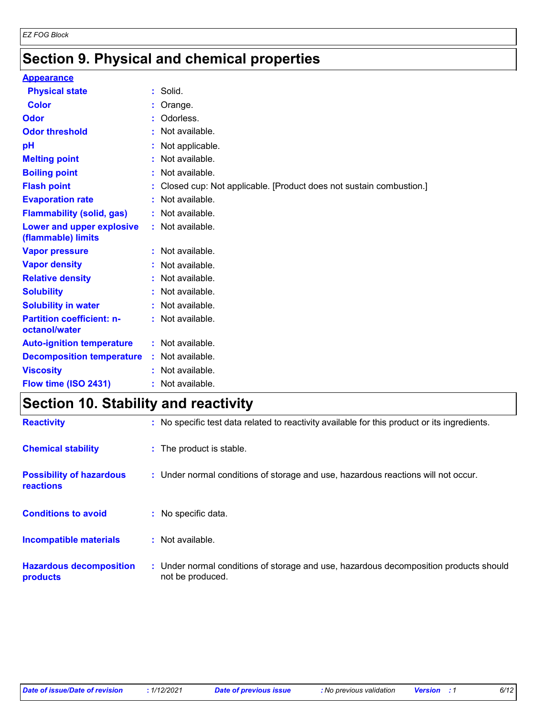## **Section 9. Physical and chemical properties**

#### **Appearance**

| <b>Physical state</b>                             | $:$ Solid.                                                         |
|---------------------------------------------------|--------------------------------------------------------------------|
| <b>Color</b>                                      | Orange.                                                            |
| <b>Odor</b>                                       | Odorless.                                                          |
| <b>Odor threshold</b>                             | Not available.                                                     |
| pH                                                | Not applicable.                                                    |
| <b>Melting point</b>                              | Not available.                                                     |
| <b>Boiling point</b>                              | Not available.                                                     |
| <b>Flash point</b>                                | Closed cup: Not applicable. [Product does not sustain combustion.] |
| <b>Evaporation rate</b>                           | Not available.                                                     |
| <b>Flammability (solid, gas)</b>                  | : Not available.                                                   |
| Lower and upper explosive<br>(flammable) limits   | : Not available.                                                   |
| <b>Vapor pressure</b>                             | : Not available.                                                   |
| <b>Vapor density</b>                              | : Not available.                                                   |
| <b>Relative density</b>                           | Not available.                                                     |
| <b>Solubility</b>                                 | Not available.                                                     |
| <b>Solubility in water</b>                        | : Not available.                                                   |
| <b>Partition coefficient: n-</b><br>octanol/water | : Not available.                                                   |
| <b>Auto-ignition temperature</b>                  | : Not available.                                                   |
| <b>Decomposition temperature</b>                  | : Not available.                                                   |
| <b>Viscosity</b>                                  | : Not available.                                                   |
| Flow time (ISO 2431)                              | : Not available.                                                   |

### **Section 10. Stability and reactivity**

| <b>Reactivity</b>                            | : No specific test data related to reactivity available for this product or its ingredients.              |
|----------------------------------------------|-----------------------------------------------------------------------------------------------------------|
| <b>Chemical stability</b>                    | : The product is stable.                                                                                  |
| <b>Possibility of hazardous</b><br>reactions | : Under normal conditions of storage and use, hazardous reactions will not occur.                         |
| <b>Conditions to avoid</b>                   | : No specific data.                                                                                       |
| Incompatible materials                       | $:$ Not available.                                                                                        |
| <b>Hazardous decomposition</b><br>products   | : Under normal conditions of storage and use, hazardous decomposition products should<br>not be produced. |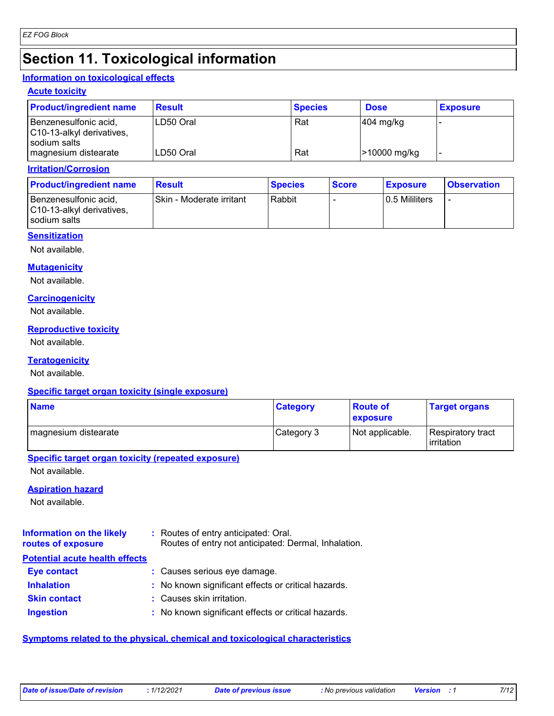## **Section 11. Toxicological information**

#### **Information on toxicological effects**

#### **Acute toxicity**

| <b>Product/ingredient name</b>                     | <b>Result</b> | <b>Species</b> | <b>Dose</b>            | <b>Exposure</b> |
|----------------------------------------------------|---------------|----------------|------------------------|-----------------|
| Benzenesulfonic acid,<br>C10-13-alkyl derivatives, | LD50 Oral     | Rat            | $ 404 \text{ mg/kg} $  |                 |
| I sodium salts<br>magnesium distearate             | ILD50 Oral    | Rat            | <b>&gt;10000 mg/kg</b> |                 |

#### **Irritation/Corrosion**

| <b>Product/ingredient name</b>                                     | <b>Result</b>            | <b>Species</b> | <b>Score</b> | <b>Exposure</b> | <b>Observation</b> |
|--------------------------------------------------------------------|--------------------------|----------------|--------------|-----------------|--------------------|
| Benzenesulfonic acid,<br>C10-13-alkyl derivatives,<br>sodium salts | Skin - Moderate irritant | Rabbit         |              | 0.5 Mililiters  | -                  |

#### **Sensitization**

Not available.

### **Mutagenicity**

Not available.

#### **Carcinogenicity**

Not available.

#### **Reproductive toxicity**

Not available.

#### **Teratogenicity**

Not available.

#### **Specific target organ toxicity (single exposure)**

| <b>Name</b>          | <b>Category</b> | ∣Route of<br><b>exposure</b> | <b>Target organs</b>                     |
|----------------------|-----------------|------------------------------|------------------------------------------|
| magnesium distearate | Category 3      | Not applicable.              | Respiratory tract<br><b>l</b> irritation |

#### **Specific target organ toxicity (repeated exposure)**

Not available.

#### **Aspiration hazard**

Not available.

#### **Information on the likely routes of exposure :** Routes of entry anticipated: Oral. Routes of entry not anticipated: Dermal, Inhalation.

| Eye contact         | : Causes serious eye damage.                        |
|---------------------|-----------------------------------------------------|
| <b>Inhalation</b>   | : No known significant effects or critical hazards. |
| <b>Skin contact</b> | : Causes skin irritation.                           |
| <b>Ingestion</b>    | : No known significant effects or critical hazards. |

#### **Symptoms related to the physical, chemical and toxicological characteristics**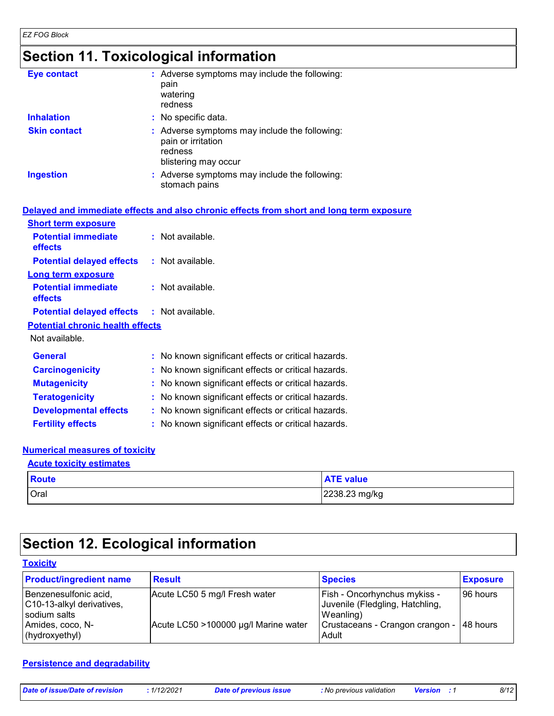*EZ FOG Block*

### **Section 11. Toxicological information**

| <b>Eye contact</b>  | : Adverse symptoms may include the following:<br>pain<br>watering<br>redness                           |
|---------------------|--------------------------------------------------------------------------------------------------------|
| <b>Inhalation</b>   | : No specific data.                                                                                    |
| <b>Skin contact</b> | : Adverse symptoms may include the following:<br>pain or irritation<br>redness<br>blistering may occur |
| <b>Ingestion</b>    | : Adverse symptoms may include the following:<br>stomach pains                                         |

|                                                   | Delayed and immediate effects and also chronic effects from short and long term exposure |
|---------------------------------------------------|------------------------------------------------------------------------------------------|
| <b>Short term exposure</b>                        |                                                                                          |
| <b>Potential immediate</b><br>effects             | $:$ Not available.                                                                       |
| <b>Potential delayed effects : Not available.</b> |                                                                                          |
| <b>Long term exposure</b>                         |                                                                                          |
| <b>Potential immediate</b><br>effects             | : Not available.                                                                         |
| <b>Potential delayed effects : Not available.</b> |                                                                                          |
| <b>Potential chronic health effects</b>           |                                                                                          |
| Not available.                                    |                                                                                          |
| <b>General</b>                                    | : No known significant effects or critical hazards.                                      |
| <b>Carcinogenicity</b>                            | : No known significant effects or critical hazards.                                      |
| <b>Mutagenicity</b>                               | : No known significant effects or critical hazards.                                      |
| <b>Teratogenicity</b>                             | : No known significant effects or critical hazards.                                      |
| <b>Developmental effects</b>                      | : No known significant effects or critical hazards.                                      |
| <b>Fertility effects</b>                          | : No known significant effects or critical hazards.                                      |

### **Numerical measures of toxicity**

### Oral 2238.23 mg/kg **Route ATE** value **Acute toxicity estimates**

### **Section 12. Ecological information**

| <b>Toxicity</b>                                                    |                                      |                                                                              |                 |  |  |  |
|--------------------------------------------------------------------|--------------------------------------|------------------------------------------------------------------------------|-----------------|--|--|--|
| <b>Product/ingredient name</b>                                     | <b>Result</b>                        | <b>Species</b>                                                               | <b>Exposure</b> |  |  |  |
| Benzenesulfonic acid,<br>C10-13-alkyl derivatives,<br>sodium salts | Acute LC50 5 mg/l Fresh water        | Fish - Oncorhynchus mykiss -<br>Juvenile (Fledgling, Hatchling,<br>Weanling) | 96 hours        |  |  |  |
| Amides, coco, N-<br>(hydroxyethyl)                                 | Acute LC50 >100000 µg/l Marine water | Crustaceans - Crangon crangon - 148 hours<br>Adult                           |                 |  |  |  |

#### **Persistence and degradability**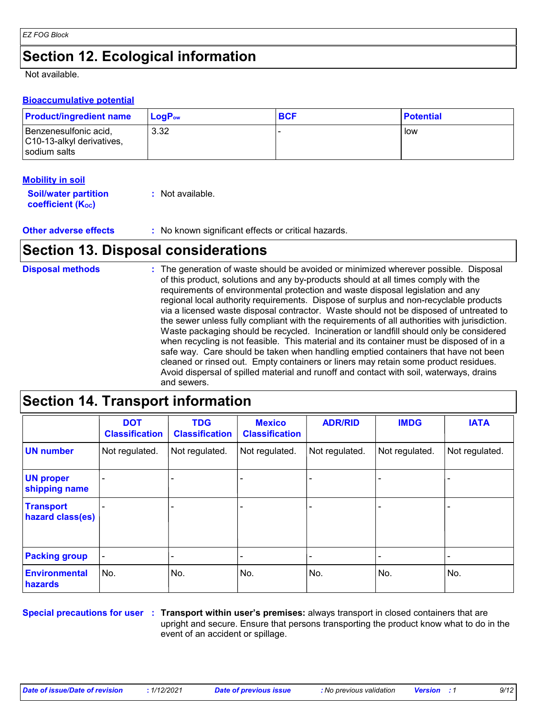## **Section 12. Ecological information**

Not available.

#### **Bioaccumulative potential**

| <b>Product/ingredient name</b>                                       | <b>LogP</b> <sub>ow</sub> | <b>BCF</b> | <b>Potential</b> |
|----------------------------------------------------------------------|---------------------------|------------|------------------|
| Benzenesulfonic acid,<br>C10-13-alkyl derivatives,<br>l sodium salts | 3.32                      |            | low              |

#### **Mobility in soil**

| <b>Soil/water partition</b> | : Not available. |
|-----------------------------|------------------|
| <b>coefficient (Koc)</b>    |                  |

**Other adverse effects** : No known significant effects or critical hazards.

### **Section 13. Disposal considerations**

#### The generation of waste should be avoided or minimized wherever possible. Disposal of this product, solutions and any by-products should at all times comply with the requirements of environmental protection and waste disposal legislation and any regional local authority requirements. Dispose of surplus and non-recyclable products via a licensed waste disposal contractor. Waste should not be disposed of untreated to the sewer unless fully compliant with the requirements of all authorities with jurisdiction. Waste packaging should be recycled. Incineration or landfill should only be considered when recycling is not feasible. This material and its container must be disposed of in a safe way. Care should be taken when handling emptied containers that have not been cleaned or rinsed out. Empty containers or liners may retain some product residues. Avoid dispersal of spilled material and runoff and contact with soil, waterways, drains and sewers. **Disposal methods :**

### **Section 14. Transport information**

|                                      | <b>DOT</b><br><b>Classification</b> | <b>TDG</b><br><b>Classification</b> | <b>Mexico</b><br><b>Classification</b> | <b>ADR/RID</b> | <b>IMDG</b>    | <b>IATA</b>    |
|--------------------------------------|-------------------------------------|-------------------------------------|----------------------------------------|----------------|----------------|----------------|
| <b>UN number</b>                     | Not regulated.                      | Not regulated.                      | Not regulated.                         | Not regulated. | Not regulated. | Not regulated. |
| <b>UN proper</b><br>shipping name    |                                     | $\blacksquare$                      |                                        |                |                |                |
| <b>Transport</b><br>hazard class(es) |                                     |                                     | $\qquad \qquad \blacksquare$           |                |                |                |
| <b>Packing group</b>                 | $\blacksquare$                      |                                     |                                        |                |                |                |
| <b>Environmental</b><br>hazards      | No.                                 | No.                                 | No.                                    | No.            | No.            | No.            |

**Special precautions for user** : Transport within user's premises: always transport in closed containers that are upright and secure. Ensure that persons transporting the product know what to do in the event of an accident or spillage.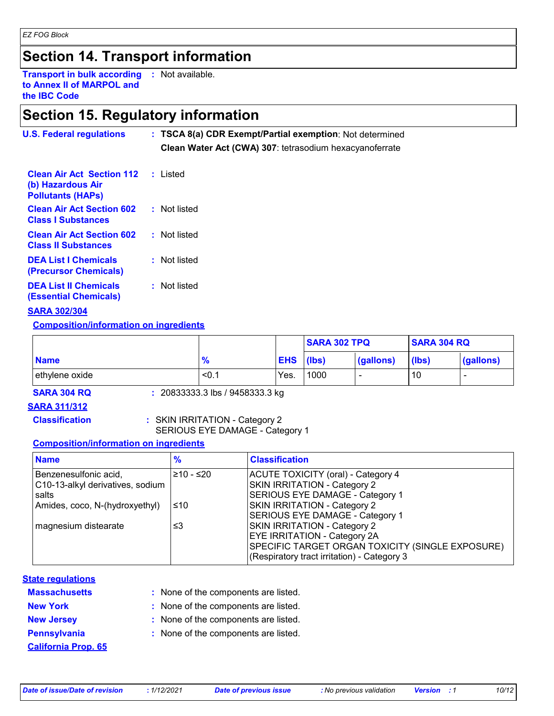## **Section 14. Transport information**

**Transport in bulk according :** Not available. **to Annex II of MARPOL and the IBC Code**

### **Section 15. Regulatory information**

| <b>U.S. Federal regulations</b>                                                   | : TSCA 8(a) CDR Exempt/Partial exemption: Not determined<br>Clean Water Act (CWA) 307: tetrasodium hexacyanoferrate |  |  |
|-----------------------------------------------------------------------------------|---------------------------------------------------------------------------------------------------------------------|--|--|
| <b>Clean Air Act Section 112</b><br>(b) Hazardous Air<br><b>Pollutants (HAPS)</b> | ∴ Listed                                                                                                            |  |  |
| <b>Clean Air Act Section 602</b><br><b>Class I Substances</b>                     | : Not listed                                                                                                        |  |  |
| <b>Clean Air Act Section 602</b><br><b>Class II Substances</b>                    | : Not listed                                                                                                        |  |  |
| <b>DEA List I Chemicals</b><br><b>(Precursor Chemicals)</b>                       | : Not listed                                                                                                        |  |  |
| <b>DEA List II Chemicals</b><br><b>(Essential Chemicals)</b>                      | : Not listed                                                                                                        |  |  |

#### **SARA 302/304**

**Composition/information on ingredients**

|                |               |            | <b>SARA 302 TPQ</b> |           | <b>SARA 304 RQ</b> |           |
|----------------|---------------|------------|---------------------|-----------|--------------------|-----------|
| <b>Name</b>    | $\frac{9}{6}$ | <b>EHS</b> | (lbs)               | (gallons) | (lbs)              | (gallons) |
| ethylene oxide | < 0.1         | Yes.       | 1000                |           | 10                 |           |

**SARA 304 RQ :** 20833333.3 lbs / 9458333.3 kg

#### **SARA 311/312**

**Classification :** SKIN IRRITATION - Category 2 SERIOUS EYE DAMAGE - Category 1

#### **Composition/information on ingredients**

| <b>Name</b>                      | $\frac{9}{6}$                                          | <b>Classification</b>                            |  |
|----------------------------------|--------------------------------------------------------|--------------------------------------------------|--|
| Benzenesulfonic acid,            | <b>ACUTE TOXICITY (oral) - Category 4</b><br>210 - ≤20 |                                                  |  |
| C10-13-alkyl derivatives, sodium |                                                        | SKIN IRRITATION - Category 2                     |  |
| salts                            |                                                        | SERIOUS EYE DAMAGE - Category 1                  |  |
| Amides, coco, N-(hydroxyethyl)   | ∣≤10                                                   | SKIN IRRITATION - Category 2                     |  |
|                                  |                                                        | SERIOUS EYE DAMAGE - Category 1                  |  |
| magnesium distearate<br>≤3       |                                                        | SKIN IRRITATION - Category 2                     |  |
|                                  |                                                        | EYE IRRITATION - Category 2A                     |  |
|                                  |                                                        | SPECIFIC TARGET ORGAN TOXICITY (SINGLE EXPOSURE) |  |
|                                  |                                                        | (Respiratory tract irritation) - Category 3      |  |

#### **State regulations**

| <b>Massachusetts</b> |  |  |  |
|----------------------|--|--|--|
| <b>New York</b>      |  |  |  |
| <b>New Jersey</b>    |  |  |  |
| <b>Pennsylvania</b>  |  |  |  |

**California Prop. 65**

- None of the components are listed. **:**
- **:** None of the components are listed.
- **:** None of the components are listed.
- **:** None of the components are listed.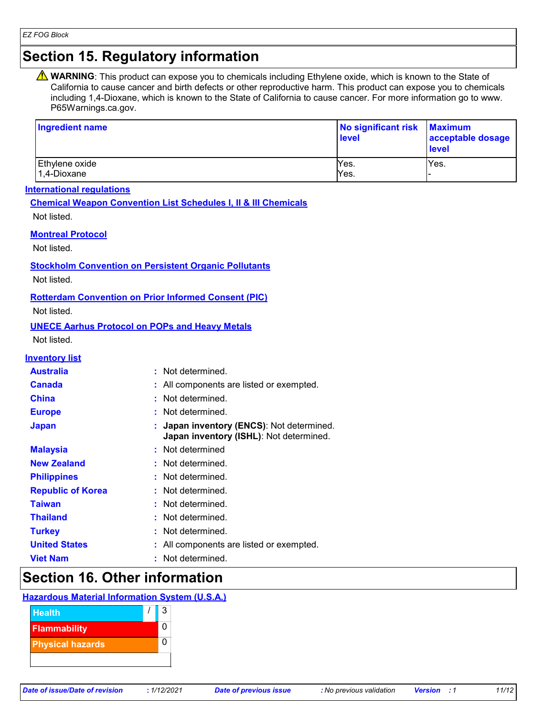### **Section 15. Regulatory information**

**A** WARNING: This product can expose you to chemicals including Ethylene oxide, which is known to the State of California to cause cancer and birth defects or other reproductive harm. This product can expose you to chemicals including 1,4-Dioxane, which is known to the State of California to cause cancer. For more information go to www. P65Warnings.ca.gov.

| Ingredient name                   | No significant risk<br>level | <b>Maximum</b><br>acceptable dosage<br><b>level</b> |
|-----------------------------------|------------------------------|-----------------------------------------------------|
| Ethylene oxide<br>$ 1,4$ -Dioxane | Yes.<br>Yes.                 | Yes.                                                |

#### **International regulations**

**Chemical Weapon Convention List Schedules I, II & III Chemicals**

Not listed.

#### **Montreal Protocol**

Not listed.

**Stockholm Convention on Persistent Organic Pollutants**

Not listed.

#### **Rotterdam Convention on Prior Informed Consent (PIC)**

Not listed.

#### **UNECE Aarhus Protocol on POPs and Heavy Metals**

Not listed.

#### **Inventory list**

| <b>Australia</b>         | : Not determined.                                                                    |
|--------------------------|--------------------------------------------------------------------------------------|
| <b>Canada</b>            | : All components are listed or exempted.                                             |
| <b>China</b>             | : Not determined.                                                                    |
| <b>Europe</b>            | : Not determined.                                                                    |
| <b>Japan</b>             | : Japan inventory (ENCS): Not determined.<br>Japan inventory (ISHL): Not determined. |
| <b>Malaysia</b>          | : Not determined                                                                     |
| <b>New Zealand</b>       | : Not determined.                                                                    |
| <b>Philippines</b>       | : Not determined.                                                                    |
| <b>Republic of Korea</b> | : Not determined.                                                                    |
| Taiwan                   | : Not determined.                                                                    |
| <b>Thailand</b>          | : Not determined.                                                                    |
| <b>Turkey</b>            | : Not determined.                                                                    |
| <b>United States</b>     | : All components are listed or exempted.                                             |
| <b>Viet Nam</b>          | : Not determined.                                                                    |

### **Section 16. Other information**

### **Hazardous Material Information System (U.S.A.)**